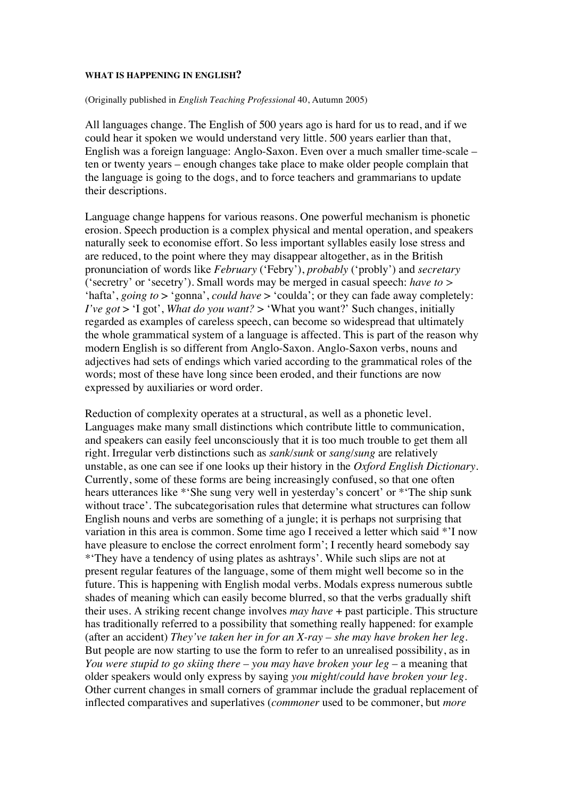## **WHAT IS HAPPENING IN ENGLISH?**

## (Originally published in *English Teaching Professional* 40, Autumn 2005)

All languages change. The English of 500 years ago is hard for us to read, and if we could hear it spoken we would understand very little. 500 years earlier than that, English was a foreign language: Anglo-Saxon. Even over a much smaller time-scale – ten or twenty years – enough changes take place to make older people complain that the language is going to the dogs, and to force teachers and grammarians to update their descriptions.

Language change happens for various reasons. One powerful mechanism is phonetic erosion. Speech production is a complex physical and mental operation, and speakers naturally seek to economise effort. So less important syllables easily lose stress and are reduced, to the point where they may disappear altogether, as in the British pronunciation of words like *February* ('Febry'), *probably* ('probly') and *secretary*  ('secretry' or 'secetry'). Small words may be merged in casual speech: *have to >*  'hafta', *going to* > 'gonna', *could have* > 'coulda'; or they can fade away completely: *I've got* > 'I got', *What do you want?* > 'What you want?' Such changes, initially regarded as examples of careless speech, can become so widespread that ultimately the whole grammatical system of a language is affected. This is part of the reason why modern English is so different from Anglo-Saxon. Anglo-Saxon verbs, nouns and adjectives had sets of endings which varied according to the grammatical roles of the words; most of these have long since been eroded, and their functions are now expressed by auxiliaries or word order.

Reduction of complexity operates at a structural, as well as a phonetic level. Languages make many small distinctions which contribute little to communication, and speakers can easily feel unconsciously that it is too much trouble to get them all right. Irregular verb distinctions such as *sank/sunk* or *sang/sung* are relatively unstable, as one can see if one looks up their history in the *Oxford English Dictionary*. Currently, some of these forms are being increasingly confused, so that one often hears utterances like \*'She sung very well in yesterday's concert' or \*'The ship sunk without trace'. The subcategorisation rules that determine what structures can follow English nouns and verbs are something of a jungle; it is perhaps not surprising that variation in this area is common. Some time ago I received a letter which said \*'I now have pleasure to enclose the correct enrolment form': I recently heard somebody say \*'They have a tendency of using plates as ashtrays'. While such slips are not at present regular features of the language, some of them might well become so in the future. This is happening with English modal verbs. Modals express numerous subtle shades of meaning which can easily become blurred, so that the verbs gradually shift their uses. A striking recent change involves *may have* + past participle. This structure has traditionally referred to a possibility that something really happened: for example (after an accident) *They've taken her in for an X-ray – she may have broken her leg.*  But people are now starting to use the form to refer to an unrealised possibility, as in *You were stupid to go skiing there – you may have broken your leg* – a meaning that older speakers would only express by saying *you might/could have broken your leg*. Other current changes in small corners of grammar include the gradual replacement of inflected comparatives and superlatives (*commoner* used to be commoner, but *more*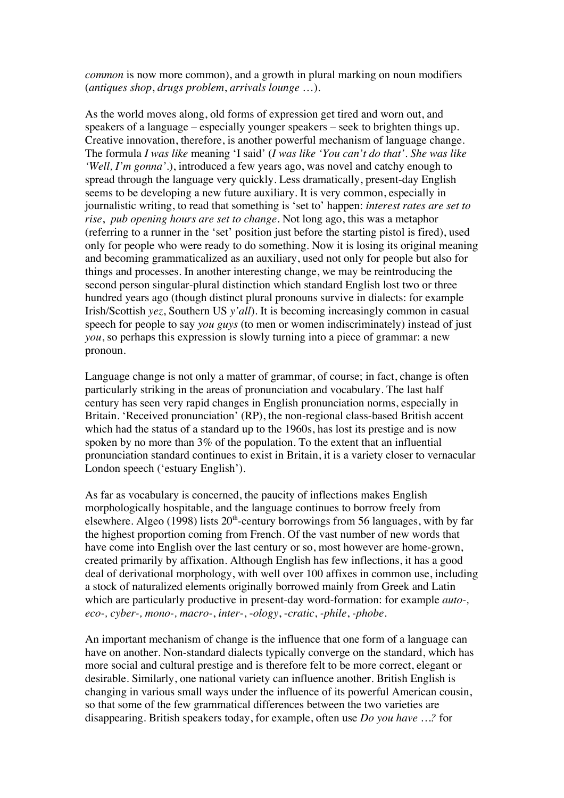*common* is now more common), and a growth in plural marking on noun modifiers (*antiques shop*, *drugs problem*, *arrivals lounge* …).

As the world moves along, old forms of expression get tired and worn out, and speakers of a language – especially younger speakers – seek to brighten things up. Creative innovation, therefore, is another powerful mechanism of language change. The formula *I was like* meaning 'I said' (*I was like 'You can't do that'. She was like 'Well, I'm gonna'.*), introduced a few years ago, was novel and catchy enough to spread through the language very quickly. Less dramatically, present-day English seems to be developing a new future auxiliary. It is very common, especially in journalistic writing, to read that something is 'set to' happen: *interest rates are set to rise*, *pub opening hours are set to change*. Not long ago, this was a metaphor (referring to a runner in the 'set' position just before the starting pistol is fired), used only for people who were ready to do something. Now it is losing its original meaning and becoming grammaticalized as an auxiliary, used not only for people but also for things and processes. In another interesting change, we may be reintroducing the second person singular-plural distinction which standard English lost two or three hundred years ago (though distinct plural pronouns survive in dialects: for example Irish/Scottish *yez*, Southern US *y'all*). It is becoming increasingly common in casual speech for people to say *you guys* (to men or women indiscriminately) instead of just *you*, so perhaps this expression is slowly turning into a piece of grammar: a new pronoun.

Language change is not only a matter of grammar, of course; in fact, change is often particularly striking in the areas of pronunciation and vocabulary. The last half century has seen very rapid changes in English pronunciation norms, especially in Britain. 'Received pronunciation' (RP), the non-regional class-based British accent which had the status of a standard up to the 1960s, has lost its prestige and is now spoken by no more than 3% of the population. To the extent that an influential pronunciation standard continues to exist in Britain, it is a variety closer to vernacular London speech ('estuary English').

As far as vocabulary is concerned, the paucity of inflections makes English morphologically hospitable, and the language continues to borrow freely from elsewhere. Algeo (1998) lists  $20<sup>th</sup>$ -century borrowings from 56 languages, with by far the highest proportion coming from French. Of the vast number of new words that have come into English over the last century or so, most however are home-grown, created primarily by affixation. Although English has few inflections, it has a good deal of derivational morphology, with well over 100 affixes in common use, including a stock of naturalized elements originally borrowed mainly from Greek and Latin which are particularly productive in present-day word-formation: for example *auto-, eco-, cyber-, mono-, macro-*, *inter*-, -*ology*, -*cratic*, *-phile*, *-phobe.*

An important mechanism of change is the influence that one form of a language can have on another. Non-standard dialects typically converge on the standard, which has more social and cultural prestige and is therefore felt to be more correct, elegant or desirable. Similarly, one national variety can influence another. British English is changing in various small ways under the influence of its powerful American cousin, so that some of the few grammatical differences between the two varieties are disappearing. British speakers today, for example, often use *Do you have …?* for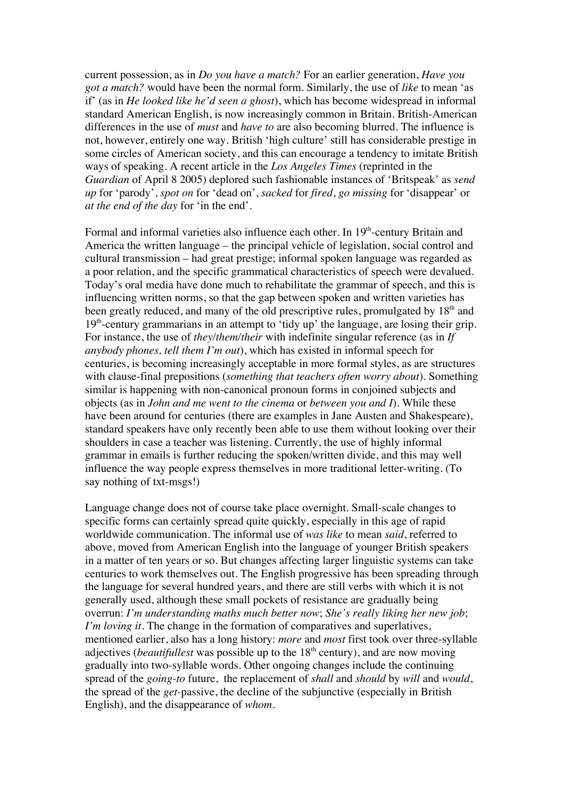current possession, as in *Do you have a match?* For an earlier generation, *Have you got a match?* would have been the normal form. Similarly, the use of *like* to mean 'as if' (as in *He looked like he'd seen a ghost*), which has become widespread in informal standard American English, is now increasingly common in Britain. British-American differences in the use of *must* and *have to* are also becoming blurred. The influence is not, however, entirely one way. British 'high culture' still has considerable prestige in some circles of American society, and this can encourage a tendency to imitate British ways of speaking. A recent article in the *Los Angeles Times* (reprinted in the *Guardian* of April 8 2005) deplored such fashionable instances of 'Britspeak' as *send up* for 'parody', *spot on* for 'dead on', *sacked* for *fired*, *go missing* for 'disappear' or *at the end of the day* for 'in the end'.

Formal and informal varieties also influence each other. In  $19<sup>th</sup>$ -century Britain and America the written language – the principal vehicle of legislation, social control and cultural transmission – had great prestige; informal spoken language was regarded as a poor relation, and the specific grammatical characteristics of speech were devalued. Today's oral media have done much to rehabilitate the grammar of speech, and this is influencing written norms, so that the gap between spoken and written varieties has been greatly reduced, and many of the old prescriptive rules, promulgated by 18<sup>th</sup> and  $19<sup>th</sup>$ -century grammarians in an attempt to 'tidy up' the language, are losing their grip. For instance, the use of *they/them/their* with indefinite singular reference (as in *If anybody phones, tell them I'm out*), which has existed in informal speech for centuries, is becoming increasingly acceptable in more formal styles, as are structures with clause-final prepositions (*something that teachers often worry about*). Something similar is happening with non-canonical pronoun forms in conjoined subjects and objects (as in *John and me went to the cinema* or *between you and I*). While these have been around for centuries (there are examples in Jane Austen and Shakespeare), standard speakers have only recently been able to use them without looking over their shoulders in case a teacher was listening. Currently, the use of highly informal grammar in emails is further reducing the spoken/written divide, and this may well influence the way people express themselves in more traditional letter-writing. (To say nothing of txt-msgs!)

Language change does not of course take place overnight. Small-scale changes to specific forms can certainly spread quite quickly, especially in this age of rapid worldwide communication. The informal use of *was like* to mean *said*, referred to above, moved from American English into the language of younger British speakers in a matter of ten years or so. But changes affecting larger linguistic systems can take centuries to work themselves out. The English progressive has been spreading through the language for several hundred years, and there are still verbs with which it is not generally used, although these small pockets of resistance are gradually being overrun: *I'm understanding maths much better now*; *She's really liking her new job*; *I'm loving it*. The change in the formation of comparatives and superlatives, mentioned earlier, also has a long history: *more* and *most* first took over three-syllable adjectives (*beautifullest* was possible up to the 18<sup>th</sup> century), and are now moving gradually into two-syllable words. Other ongoing changes include the continuing spread of the *going-to* future, the replacement of *shall* and *should* by *will* and *would*, the spread of the *get-*passive, the decline of the subjunctive (especially in British English), and the disappearance of *whom*.